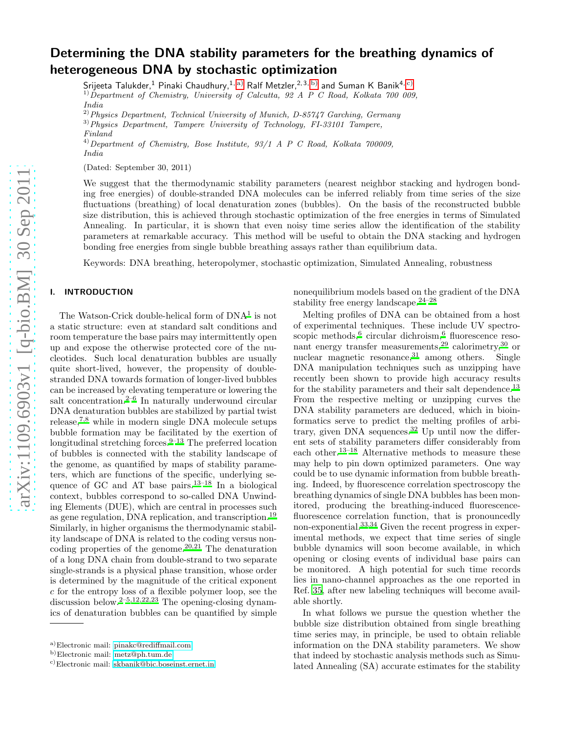# Determining the DNA stability parameters for the breathing dynamics of heterogeneous DNA by stochastic optimization

Srijeeta Talukder, $^1$  Pinaki Chaudhury, $^{1,\,\mathrm{a})}$  Ralf Metzler, $^{2,\,3,\,\mathrm{b})}$  and Suman K Banik $^{4,\,\mathrm{c})}$  $^{1)}$ Department of Chemistry, University of Calcutta, 92 A P C Road, Kolkata 700 009, India

 $^{2)}$  Physics Department, Technical University of Munich, D-85747 Garching, Germany

3)Physics Department, Tampere University of Technology, FI-33101 Tampere, Finland

 $^{4)}$ Department of Chemistry, Bose Institute, 93/1 A P C Road, Kolkata 700009, India

(Dated: September 30, 2011)

We suggest that the thermodynamic stability parameters (nearest neighbor stacking and hydrogen bonding free energies) of double-stranded DNA molecules can be inferred reliably from time series of the size fluctuations (breathing) of local denaturation zones (bubbles). On the basis of the reconstructed bubble size distribution, this is achieved through stochastic optimization of the free energies in terms of Simulated Annealing. In particular, it is shown that even noisy time series allow the identification of the stability parameters at remarkable accuracy. This method will be useful to obtain the DNA stacking and hydrogen bonding free energies from single bubble breathing assays rather than equilibrium data.

Keywords: DNA breathing, heteropolymer, stochastic optimization, Simulated Annealing, robustness

# I. INTRODUCTION

The Watson-Crick double-helical form of  $DNA<sup>1</sup>$  $DNA<sup>1</sup>$  $DNA<sup>1</sup>$  is not a static structure: even at standard salt conditions and room temperature the base pairs may intermittently open up and expose the otherwise protected core of the nucleotides. Such local denaturation bubbles are usually quite short-lived, however, the propensity of doublestranded DNA towards formation of longer-lived bubbles can be increased by elevating temperature or lowering the salt concentration. $2^{-6}$  $2^{-6}$  In naturally underwound circular DNA denaturation bubbles are stabilized by partial twist release,[7](#page-5-3)[,8](#page-5-4) while in modern single DNA molecule setups bubble formation may be facilitated by the exertion of longitudinal stretching forces. $9-13$  $9-13$  The preferred location of bubbles is connected with the stability landscape of the genome, as quantified by maps of stability parameters, which are functions of the specific, underlying sequence of GC and AT base pairs.[13](#page-5-6)[–18](#page-5-7) In a biological context, bubbles correspond to so-called DNA Unwinding Elements (DUE), which are central in processes such as gene regulation, DNA replication, and transcription.[19](#page-5-8) Similarly, in higher organisms the thermodynamic stability landscape of DNA is related to the coding versus non-coding properties of the genome.<sup>[20](#page-5-9)[,21](#page-5-10)</sup> The denaturation of a long DNA chain from double-strand to two separate single-strands is a physical phase transition, whose order is determined by the magnitude of the critical exponent c for the entropy loss of a flexible polymer loop, see the discussion below.[2](#page-5-1)[–5](#page-5-11)[,12](#page-5-12)[,22](#page-5-13)[,23](#page-5-14) The opening-closing dynamics of denaturation bubbles can be quantified by simple

nonequilibrium models based on the gradient of the DNA stability free energy landscape. $24-28$  $24-28$ 

Melting profiles of DNA can be obtained from a host of experimental techniques. These include UV spectro-scopic methods,<sup>[6](#page-5-2)</sup> circular dichroism,<sup>6</sup> fluorescence resonant energy transfer measurements,[29](#page-5-17) calorimetry,[30](#page-5-18) or nuclear magnetic resonance,  $31$  among others. Single DNA manipulation techniques such as unzipping have recently been shown to provide high accuracy results for the stability parameters and their salt dependence.<sup>[13](#page-5-6)</sup> From the respective melting or unzipping curves the DNA stability parameters are deduced, which in bioinformatics serve to predict the melting profiles of arbi-trary, given DNA sequences.<sup>[32](#page-5-20)</sup> Up until now the different sets of stability parameters differ considerably from each other.[13](#page-5-6)[–18](#page-5-7) Alternative methods to measure these may help to pin down optimized parameters. One way could be to use dynamic information from bubble breathing. Indeed, by fluorescence correlation spectroscopy the breathing dynamics of single DNA bubbles has been monitored, producing the breathing-induced fluorescencefluorescence correlation function, that is pronouncedly non-exponential.[33](#page-5-21)[,34](#page-5-22) Given the recent progress in experimental methods, we expect that time series of single bubble dynamics will soon become available, in which opening or closing events of individual base pairs can be monitored. A high potential for such time records lies in nano-channel approaches as the one reported in Ref. [35,](#page-5-23) after new labeling techniques will become available shortly.

In what follows we pursue the question whether the bubble size distribution obtained from single breathing time series may, in principle, be used to obtain reliable information on the DNA stability parameters. We show that indeed by stochastic analysis methods such as Simulated Annealing (SA) accurate estimates for the stability

<span id="page-0-0"></span>a)Electronic mail: [pinakc@rediffmail.com](mailto:pinakc@rediffmail.com)

<span id="page-0-1"></span>b)Electronic mail: [metz@ph.tum.de](mailto:metz@ph.tum.de)

<span id="page-0-2"></span>c)Electronic mail: [skbanik@bic.boseinst.ernet.in](mailto:skbanik@bic.boseinst.ernet.in)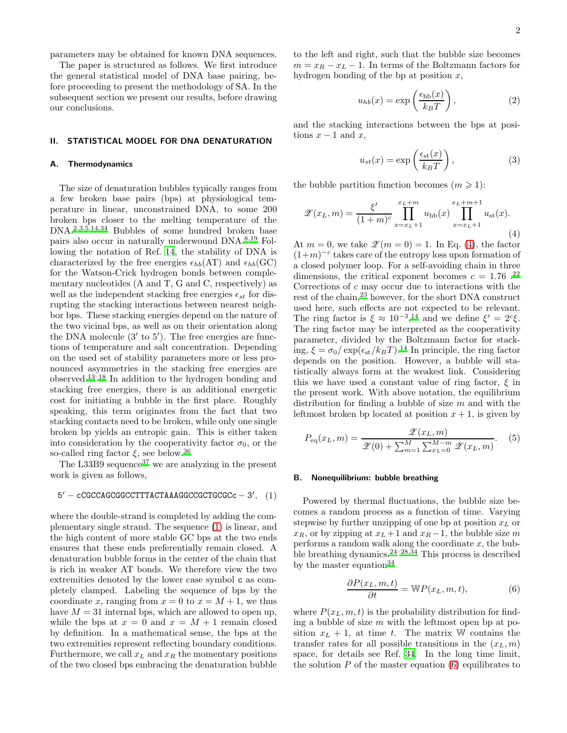parameters may be obtained for known DNA sequences.

The paper is structured as follows. We first introduce the general statistical model of DNA base pairing, before proceeding to present the methodology of SA. In the subsequent section we present our results, before drawing our conclusions.

#### II. STATISTICAL MODEL FOR DNA DENATURATION

#### A. Thermodynamics

The size of denaturation bubbles typically ranges from a few broken base pairs (bps) at physiological temperature in linear, unconstrained DNA, to some 200 broken bps closer to the melting temperature of the DNA.[2](#page-5-1)[,3](#page-5-24)[,5](#page-5-11)[,14](#page-5-25)[,34](#page-5-22) Bubbles of some hundred broken base pairs also occur in naturally underwound DNA.[8](#page-5-4)[,19](#page-5-8) Following the notation of Ref. [14,](#page-5-25) the stability of DNA is characterized by the free energies  $\epsilon_{hb}(\text{AT})$  and  $\epsilon_{hb}(\text{GC})$ for the Watson-Crick hydrogen bonds between complementary nucleotides (A and T, G and C, respectively) as well as the independent stacking free energies  $\epsilon_{st}$  for disrupting the stacking interactions between nearest neighbor bps. These stacking energies depend on the nature of the two vicinal bps, as well as on their orientation along the DNA molecule  $(3'$  to 5'). The free energies are functions of temperature and salt concentration. Depending on the used set of stability parameters more or less pronounced asymmetries in the stacking free energies are observed.[13](#page-5-6)[–18](#page-5-7) In addition to the hydrogen bonding and stacking free energies, there is an additional energetic cost for initiating a bubble in the first place. Roughly speaking, this term originates from the fact that two stacking contacts need to be broken, while only one single broken bp yields an entropic gain. This is either taken into consideration by the cooperativity factor  $\sigma_0$ , or the so-called ring factor  $\xi$ , see below.<sup>[36](#page-5-26)</sup>

The L33B9 sequence<sup>[37](#page-5-27)</sup> we are analyzing in the present work is given as follows,

<span id="page-1-0"></span>
$$
5' - cCGCCAGCGGCCTTTACTAAAGGCCGCTGCCC - 3', (1)
$$

where the double-strand is completed by adding the complementary single strand. The sequence [\(1\)](#page-1-0) is linear, and the high content of more stable GC bps at the two ends ensures that these ends preferentially remain closed. A denaturation bubble forms in the center of the chain that is rich in weaker AT bonds. We therefore view the two extremities denoted by the lower case symbol c as completely clamped. Labeling the sequence of bps by the coordinate x, ranging from  $x = 0$  to  $x = M + 1$ , we thus have  $M = 31$  internal bps, which are allowed to open up, while the bps at  $x = 0$  and  $x = M + 1$  remain closed by definition. In a mathematical sense, the bps at the two extremities represent reflecting boundary conditions. Furthermore, we call  $x_L$  and  $x_R$  the momentary positions of the two closed bps embracing the denaturation bubble

to the left and right, such that the bubble size becomes  $m = x_R - x_L - 1$ . In terms of the Boltzmann factors for hydrogen bonding of the bp at position  $x$ ,

$$
u_{hb}(x) = \exp\left(\frac{\epsilon_{\rm hb}(x)}{k_B T}\right),\tag{2}
$$

and the stacking interactions between the bps at positions  $x - 1$  and  $x$ ,

$$
u_{st}(x) = \exp\left(\frac{\epsilon_{st}(x)}{k_B T}\right),\tag{3}
$$

the bubble partition function becomes  $(m \geq 1)$ :

<span id="page-1-1"></span>
$$
\mathscr{Z}(x_L, m) = \frac{\xi'}{(1+m)^c} \prod_{x=x_L+1}^{x_L+m} u_{\rm hb}(x) \prod_{x=x_L+1}^{x_L+m+1} u_{\rm st}(x).
$$
\n(4)

At  $m = 0$ , we take  $\mathscr{Z}(m = 0) = 1$ . In Eq. [\(4\)](#page-1-1), the factor  $(1+m)^{-c}$  takes care of the entropy loss upon formation of a closed polymer loop. For a self-avoiding chain in three dimensions, the critical exponent becomes  $c = 1.76$ .<sup>[22](#page-5-13)</sup> Corrections of c may occur due to interactions with the rest of the chain,<sup>[23](#page-5-14)</sup> however, for the short DNA construct used here, such effects are not expected to be relevant. The ring factor is  $\xi \approx 10^{-3}$ ,<sup>[14](#page-5-25)</sup> and we define  $\xi' = 2^c \xi$ . The ring factor may be interpreted as the cooperativity parameter, divided by the Boltzmann factor for stacking,  $\xi = \sigma_0 / \exp(\epsilon_{st} / k_B T)$ .<sup>[14](#page-5-25)</sup> In principle, the ring factor depends on the position. However, a bubble will statistically always form at the weakest link. Considering this we have used a constant value of ring factor,  $\xi$  in the present work. With above notation, the equilibrium distribution for finding a bubble of size  $m$  and with the leftmost broken bp located at position  $x + 1$ , is given by

<span id="page-1-3"></span>
$$
P_{\text{eq}}(x_L, m) = \frac{\mathscr{Z}(x_L, m)}{\mathscr{Z}(0) + \sum_{m=1}^{M} \sum_{x_L=0}^{M-m} \mathscr{Z}(x_L, m)}.
$$
 (5)

#### B. Nonequilibrium: bubble breathing

Powered by thermal fluctuations, the bubble size becomes a random process as a function of time. Varying stepwise by further unzipping of one bp at position  $x<sub>L</sub>$  or  $x_R$ , or by zipping at  $x_L + 1$  and  $x_R - 1$ , the bubble size m performs a random walk along the coordinate  $x$ , the bub-ble breathing dynamics.<sup>[24](#page-5-15)[–28](#page-5-16)[,34](#page-5-22)</sup> This process is described by the master equation  $34$ 

<span id="page-1-2"></span>
$$
\frac{\partial P(x_L, m, t)}{\partial t} = \mathbb{W}P(x_L, m, t),\tag{6}
$$

where  $P(x_L, m, t)$  is the probability distribution for finding a bubble of size  $m$  with the leftmost open bp at position  $x_L + 1$ , at time t. The matrix W contains the transfer rates for all possible transitions in the  $(x_L, m)$ space, for details see Ref. [34.](#page-5-22) In the long time limit, the solution  $P$  of the master equation  $(6)$  equilibrates to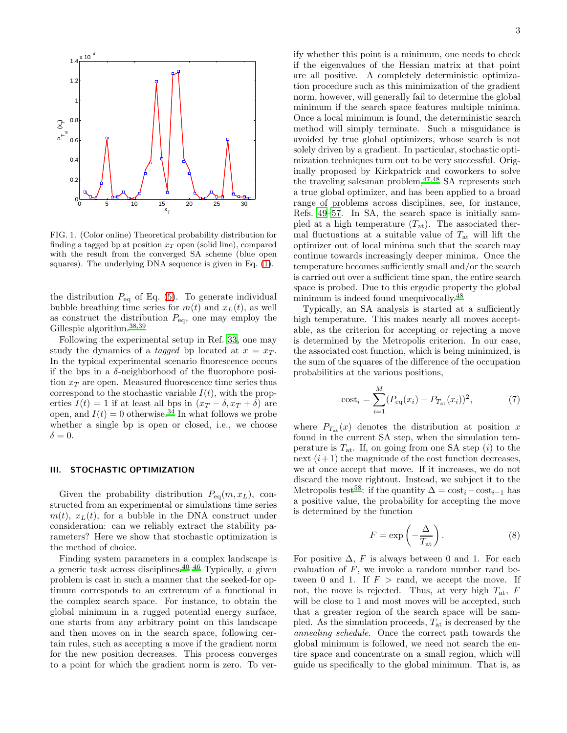

FIG. 1. (Color online) Theoretical probability distribution for finding a tagged bp at position  $x_T$  open (solid line), compared with the result from the converged SA scheme (blue open squares). The underlying DNA sequence is given in Eq. [\(1\)](#page-1-0).

the distribution  $P_{\text{eq}}$  of Eq. [\(5\)](#page-1-3). To generate individual bubble breathing time series for  $m(t)$  and  $x<sub>L</sub>(t)$ , as well as construct the distribution  $P_{eq}$ , one may employ the Gillespie algorithm. $^{38,39}$  $^{38,39}$  $^{38,39}$  $^{38,39}$ 

Following the experimental setup in Ref. [33,](#page-5-21) one may study the dynamics of a *tagged* bp located at  $x = x_T$ . In the typical experimental scenario fluorescence occurs if the bps in a δ-neighborhood of the fluorophore position  $x_T$  are open. Measured fluorescence time series thus correspond to the stochastic variable  $I(t)$ , with the properties  $I(t) = 1$  if at least all bps in  $(x_T - \delta, x_T + \delta)$  are open, and  $I(t) = 0$  otherwise.<sup>[34](#page-5-22)</sup> In what follows we probe whether a single bp is open or closed, i.e., we choose  $\delta = 0.$ 

## III. STOCHASTIC OPTIMIZATION

Given the probability distribution  $P_{eq}(m, x_L)$ , constructed from an experimental or simulations time series  $m(t)$ ,  $x<sub>L</sub>(t)$ , for a bubble in the DNA construct under consideration: can we reliably extract the stability parameters? Here we show that stochastic optimization is the method of choice.

Finding system parameters in a complex landscape is a generic task across disciplines.<sup>[40](#page-5-30)[–46](#page-5-31)</sup> Typically, a given problem is cast in such a manner that the seeked-for optimum corresponds to an extremum of a functional in the complex search space. For instance, to obtain the global minimum in a rugged potential energy surface, one starts from any arbitrary point on this landscape and then moves on in the search space, following certain rules, such as accepting a move if the gradient norm for the new position decreases. This process converges to a point for which the gradient norm is zero. To verify whether this point is a minimum, one needs to check if the eigenvalues of the Hessian matrix at that point are all positive. A completely deterministic optimization procedure such as this minimization of the gradient norm, however, will generally fail to determine the global minimum if the search space features multiple minima. Once a local minimum is found, the deterministic search method will simply terminate. Such a misguidance is avoided by true global optimizers, whose search is not solely driven by a gradient. In particular, stochastic optimization techniques turn out to be very successful. Originally proposed by Kirkpatrick and coworkers to solve the traveling salesman problem,  $47,48$  $47,48$  SA represents such a true global optimizer, and has been applied to a broad range of problems across disciplines, see, for instance, Refs. [49](#page-5-34)[–57](#page-5-35). In SA, the search space is initially sampled at a high temperature  $(T_{at})$ . The associated thermal fluctuations at a suitable value of  $T_{\text{at}}$  will lift the optimizer out of local minima such that the search may continue towards increasingly deeper minima. Once the temperature becomes sufficiently small and/or the search is carried out over a sufficient time span, the entire search space is probed. Due to this ergodic property the global minimum is indeed found unequivocally.<sup>[48](#page-5-33)</sup>

Typically, an SA analysis is started at a sufficiently high temperature. This makes nearly all moves acceptable, as the criterion for accepting or rejecting a move is determined by the Metropolis criterion. In our case, the associated cost function, which is being minimized, is the sum of the squares of the difference of the occupation probabilities at the various positions,

cost<sub>i</sub> = 
$$
\sum_{i=1}^{M} (P_{\text{eq}}(x_i) - P_{T_{\text{at}}}(x_i))^2,
$$
 (7)

where  $P_{T_{at}}(x)$  denotes the distribution at position x found in the current SA step, when the simulation temperature is  $T_{\text{at}}$ . If, on going from one SA step (i) to the next  $(i+1)$  the magnitude of the cost function decreases, we at once accept that move. If it increases, we do not discard the move rightout. Instead, we subject it to the Metropolis test<sup>[58](#page-5-36)</sup>: if the quantity  $\Delta = \text{cost}_i - \text{cost}_{i-1}$  has a positive value, the probability for accepting the move is determined by the function

$$
F = \exp\left(-\frac{\Delta}{T_{\text{at}}}\right). \tag{8}
$$

For positive  $\Delta$ , F is always between 0 and 1. For each evaluation of  $F$ , we invoke a random number rand between 0 and 1. If  $F > \text{rand}$ , we accept the move. If not, the move is rejected. Thus, at very high  $T_{at}$ ,  $F$ will be close to 1 and most moves will be accepted, such that a greater region of the search space will be sampled. As the simulation proceeds,  $T_{at}$  is decreased by the annealing schedule. Once the correct path towards the global minimum is followed, we need not search the entire space and concentrate on a small region, which will guide us specifically to the global minimum. That is, as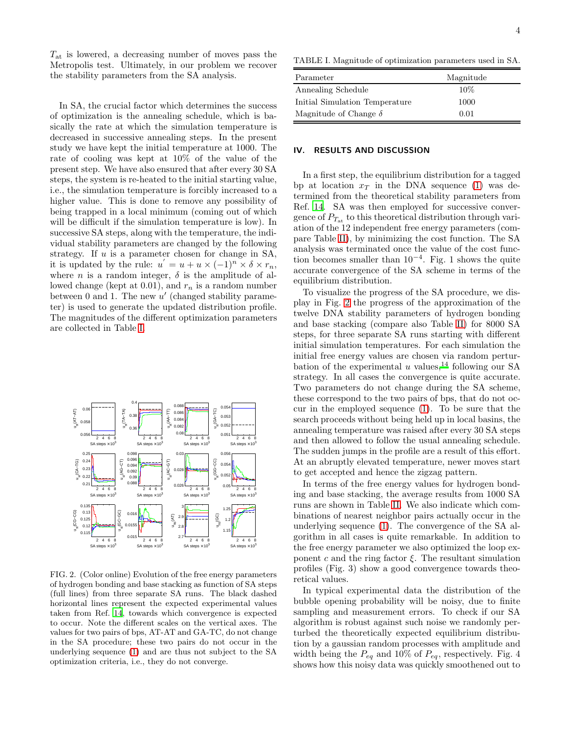$T_{\text{at}}$  is lowered, a decreasing number of moves pass the Metropolis test. Ultimately, in our problem we recover the stability parameters from the SA analysis.

In SA, the crucial factor which determines the success of optimization is the annealing schedule, which is basically the rate at which the simulation temperature is decreased in successive annealing steps. In the present study we have kept the initial temperature at 1000. The rate of cooling was kept at 10% of the value of the present step. We have also ensured that after every 30 SA steps, the system is re-heated to the initial starting value, i.e., the simulation temperature is forcibly increased to a higher value. This is done to remove any possibility of being trapped in a local minimum (coming out of which will be difficult if the simulation temperature is low). In successive SA steps, along with the temperature, the individual stability parameters are changed by the following strategy. If  $u$  is a parameter chosen for change in SA, it is updated by the rule:  $u' = u + u \times (-1)^n \times \delta \times r_n$ , where *n* is a random integer,  $\delta$  is the amplitude of allowed change (kept at 0.01), and  $r_n$  is a random number between 0 and 1. The new  $u'$  (changed stability parameter) is used to generate the updated distribution profile. The magnitudes of the different optimization parameters are collected in Table [I.](#page-3-0)



<span id="page-3-1"></span>FIG. 2. (Color online) Evolution of the free energy parameters of hydrogen bonding and base stacking as function of SA steps (full lines) from three separate SA runs. The black dashed horizontal lines represent the expected experimental values taken from Ref. [14](#page-5-25), towards which convergence is expected to occur. Note the different scales on the vertical axes. The values for two pairs of bps, AT-AT and GA-TC, do not change in the SA procedure; these two pairs do not occur in the underlying sequence [\(1\)](#page-1-0) and are thus not subject to the SA optimization criteria, i.e., they do not converge.

<span id="page-3-0"></span>TABLE I. Magnitude of optimization parameters used in SA.

| Parameter                      | Magnitude |
|--------------------------------|-----------|
| Annealing Schedule             | 10%       |
| Initial Simulation Temperature | 1000      |
| Magnitude of Change $\delta$   | 0.01      |

#### IV. RESULTS AND DISCUSSION

In a first step, the equilibrium distribution for a tagged bp at location  $x_T$  in the DNA sequence [\(1\)](#page-1-0) was determined from the theoretical stability parameters from Ref. [14](#page-5-25). SA was then employed for successive convergence of  $P_{T_{\text{at}}}$  to this theoretical distribution through variation of the 12 independent free energy parameters (compare Table [II\)](#page-4-0), by minimizing the cost function. The SA analysis was terminated once the value of the cost function becomes smaller than  $10^{-4}$ . Fig. 1 shows the quite accurate convergence of the SA scheme in terms of the equilibrium distribution.

To visualize the progress of the SA procedure, we display in Fig. [2](#page-3-1) the progress of the approximation of the twelve DNA stability parameters of hydrogen bonding and base stacking (compare also Table [II\)](#page-4-0) for 8000 SA steps, for three separate SA runs starting with different initial simulation temperatures. For each simulation the initial free energy values are chosen via random pertur-bation of the experimental u values,<sup>[14](#page-5-25)</sup> following our SA strategy. In all cases the convergence is quite accurate. Two parameters do not change during the SA scheme, these correspond to the two pairs of bps, that do not occur in the employed sequence [\(1\)](#page-1-0). To be sure that the search proceeds without being held up in local basins, the annealing temperature was raised after every 30 SA steps and then allowed to follow the usual annealing schedule. The sudden jumps in the profile are a result of this effort. At an abruptly elevated temperature, newer moves start to get accepted and hence the zigzag pattern.

In terms of the free energy values for hydrogen bonding and base stacking, the average results from 1000 SA runs are shown in Table [II.](#page-4-0) We also indicate which combinations of nearest neighbor pairs actually occur in the underlying sequence [\(1\)](#page-1-0). The convergence of the SA algorithm in all cases is quite remarkable. In addition to the free energy parameter we also optimized the loop exponent c and the ring factor  $\xi$ . The resultant simulation profiles (Fig. 3) show a good convergence towards theoretical values.

In typical experimental data the distribution of the bubble opening probability will be noisy, due to finite sampling and measurement errors. To check if our SA algorithm is robust against such noise we randomly perturbed the theoretically expected equilibrium distribution by a gaussian random processes with amplitude and width being the  $P_{eq}$  and 10% of  $P_{eq}$ , respectively. Fig. 4 shows how this noisy data was quickly smoothened out to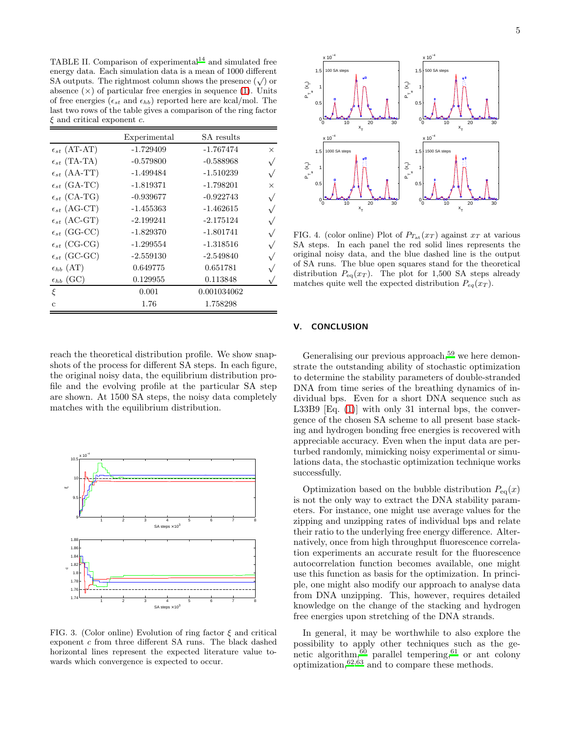<span id="page-4-0"></span>TABLE II. Comparison of experimental $14$  and simulated free energy data. Each simulation data is a mean of 1000 different SA outputs. The rightmost column shows the presence  $(\sqrt{ } )$  or absence  $(x)$  of particular free energies in sequence [\(1\)](#page-1-0). Units of free energies ( $\epsilon_{st}$  and  $\epsilon_{hb}$ ) reported here are kcal/mol. The last two rows of the table gives a comparison of the ring factor  $\xi$  and critical exponent  $c$ .

|                         | Experimental | SA results  |           |
|-------------------------|--------------|-------------|-----------|
| $\epsilon_{st}$ (AT-AT) | $-1.729409$  | $-1.767474$ | $\times$  |
| $\epsilon_{st}$ (TA-TA) | $-0.579800$  | $-0.588968$ | $\sqrt{}$ |
| $\epsilon_{st}$ (AA-TT) | $-1.499484$  | $-1.510239$ | $\sqrt{}$ |
| $\epsilon_{st}$ (GA-TC) | $-1.819371$  | $-1.798201$ | $\times$  |
| $\epsilon_{st}$ (CA-TG) | $-0.939677$  | $-0.922743$ | $\sqrt{}$ |
| $\epsilon_{st}$ (AG-CT) | $-1.455363$  | $-1.462615$ | $\sqrt{}$ |
| $\epsilon_{st}$ (AC-GT) | $-2.199241$  | $-2.175124$ | $\sqrt{}$ |
| $\epsilon_{st}$ (GG-CC) | $-1.829370$  | $-1.801741$ | $\sqrt{}$ |
| $\epsilon_{st}$ (CG-CG) | $-1.299554$  | $-1.318516$ |           |
| $\epsilon_{st}$ (GC-GC) | $-2.559130$  | $-2.549840$ | $\sqrt{}$ |
| $\epsilon_{hb}$ (AT)    | 0.649775     | 0.651781    |           |
| $\epsilon_{hb}$ (GC)    | 0.129955     | 0.113848    |           |
| ξ                       | 0.001        | 0.001034062 |           |
| $\mathbf{c}$            | 1.76         | 1.758298    |           |

reach the theoretical distribution profile. We show snapshots of the process for different SA steps. In each figure, the original noisy data, the equilibrium distribution profile and the evolving profile at the particular SA step are shown. At 1500 SA steps, the noisy data completely matches with the equilibrium distribution.



FIG. 3. (Color online) Evolution of ring factor  $\xi$  and critical exponent c from three different SA runs. The black dashed horizontal lines represent the expected literature value towards which convergence is expected to occur.



FIG. 4. (color online) Plot of  $P_{T_{at}}(x_T)$  against  $x_T$  at various SA steps. In each panel the red solid lines represents the original noisy data, and the blue dashed line is the output of SA runs. The blue open squares stand for the theoretical distribution  $P_{\text{eq}}(x_T)$ . The plot for 1,500 SA steps already matches quite well the expected distribution  $P_{eq}(x_T)$ .

# V. CONCLUSION

Generalising our previous approach,<sup>[59](#page-5-37)</sup> we here demonstrate the outstanding ability of stochastic optimization to determine the stability parameters of double-stranded DNA from time series of the breathing dynamics of individual bps. Even for a short DNA sequence such as L33B9 [Eq. [\(1\)](#page-1-0)] with only 31 internal bps, the convergence of the chosen SA scheme to all present base stacking and hydrogen bonding free energies is recovered with appreciable accuracy. Even when the input data are perturbed randomly, mimicking noisy experimental or simulations data, the stochastic optimization technique works successfully.

Optimization based on the bubble distribution  $P_{eq}(x)$ is not the only way to extract the DNA stability parameters. For instance, one might use average values for the zipping and unzipping rates of individual bps and relate their ratio to the underlying free energy difference. Alternatively, once from high throughput fluorescence correlation experiments an accurate result for the fluorescence autocorrelation function becomes available, one might use this function as basis for the optimization. In principle, one might also modify our approach to analyse data from DNA unzipping. This, however, requires detailed knowledge on the change of the stacking and hydrogen free energies upon stretching of the DNA strands.

In general, it may be worthwhile to also explore the possibility to apply other techniques such as the genetic algorithm,  $60$  parallel tempering,  $61$  or ant colony optimization,  $62,63$  $62,63$  and to compare these methods.